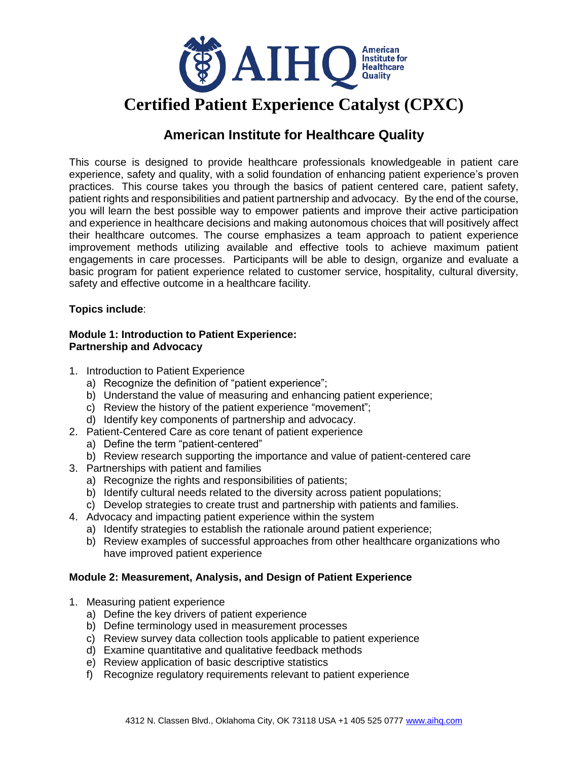

# **American Institute for Healthcare Quality**

This course is designed to provide healthcare professionals knowledgeable in patient care experience, safety and quality, with a solid foundation of enhancing patient experience's proven practices. This course takes you through the basics of patient centered care, patient safety, patient rights and responsibilities and patient partnership and advocacy. By the end of the course, you will learn the best possible way to empower patients and improve their active participation and experience in healthcare decisions and making autonomous choices that will positively affect their healthcare outcomes. The course emphasizes a team approach to patient experience improvement methods utilizing available and effective tools to achieve maximum patient engagements in care processes. Participants will be able to design, organize and evaluate a basic program for patient experience related to customer service, hospitality, cultural diversity, safety and effective outcome in a healthcare facility.

## **Topics include**:

#### **Module 1: Introduction to Patient Experience: Partnership and Advocacy**

- 1. Introduction to Patient Experience
	- a) Recognize the definition of "patient experience";
	- b) Understand the value of measuring and enhancing patient experience;
	- c) Review the history of the patient experience "movement";
	- d) Identify key components of partnership and advocacy.
- 2. Patient-Centered Care as core tenant of patient experience
	- a) Define the term "patient-centered"
	- b) Review research supporting the importance and value of patient-centered care
- 3. Partnerships with patient and families
	- a) Recognize the rights and responsibilities of patients;
	- b) Identify cultural needs related to the diversity across patient populations;
	- c) Develop strategies to create trust and partnership with patients and families.
- 4. Advocacy and impacting patient experience within the system
	- a) Identify strategies to establish the rationale around patient experience;
	- b) Review examples of successful approaches from other healthcare organizations who have improved patient experience

## **Module 2: Measurement, Analysis, and Design of Patient Experience**

- 1. Measuring patient experience
	- a) Define the key drivers of patient experience
	- b) Define terminology used in measurement processes
	- c) Review survey data collection tools applicable to patient experience
	- d) Examine quantitative and qualitative feedback methods
	- e) Review application of basic descriptive statistics
	- f) Recognize regulatory requirements relevant to patient experience